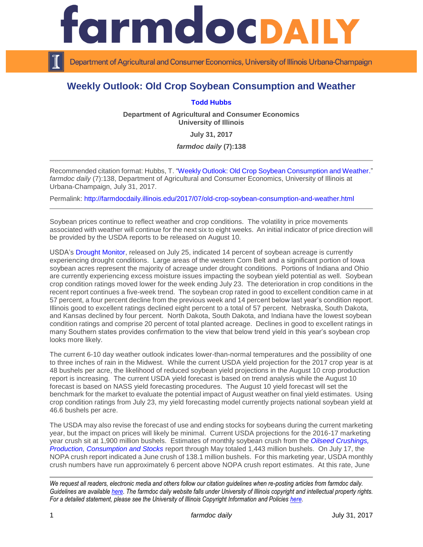

Department of Agricultural and Consumer Economics, University of Illinois Urbana-Champaign

## **Weekly Outlook: Old Crop Soybean Consumption and Weather**

## **[Todd Hubbs](http://ace.illinois.edu/directory/jhubbs3)**

**Department of Agricultural and Consumer Economics University of Illinois**

**July 31, 2017**

*farmdoc daily* **(7):138**

Recommended citation format: Hubbs, T. ["Weekly Outlook: Old Crop Soybean Consumption and Weather.](http://farmdocdaily.illinois.edu/2017/07/old-crop-soybean-consumption-and-weather.html)" *farmdoc daily* (7):138, Department of Agricultural and Consumer Economics, University of Illinois at Urbana-Champaign, July 31, 2017.

Permalink: <http://farmdocdaily.illinois.edu/2017/07/old-crop-soybean-consumption-and-weather.html>

Soybean prices continue to reflect weather and crop conditions. The volatility in price movements associated with weather will continue for the next six to eight weeks. An initial indicator of price direction will be provided by the USDA reports to be released on August 10.

USDA's [Drought Monitor,](https://www.usda.gov/oce/weather/Drought/AgInDrought.pdf) released on July 25, indicated 14 percent of soybean acreage is currently experiencing drought conditions. Large areas of the western Corn Belt and a significant portion of Iowa soybean acres represent the majority of acreage under drought conditions. Portions of Indiana and Ohio are currently experiencing excess moisture issues impacting the soybean yield potential as well. Soybean crop condition ratings moved lower for the week ending July 23. The deterioration in crop conditions in the recent report continues a five-week trend. The soybean crop rated in good to excellent condition came in at 57 percent, a four percent decline from the previous week and 14 percent below last year's condition report. Illinois good to excellent ratings declined eight percent to a total of 57 percent. Nebraska, South Dakota, and Kansas declined by four percent. North Dakota, South Dakota, and Indiana have the lowest soybean condition ratings and comprise 20 percent of total planted acreage. Declines in good to excellent ratings in many Southern states provides confirmation to the view that below trend yield in this year's soybean crop looks more likely.

The current 6-10 day weather outlook indicates lower-than-normal temperatures and the possibility of one to three inches of rain in the Midwest. While the current USDA yield projection for the 2017 crop year is at 48 bushels per acre, the likelihood of reduced soybean yield projections in the August 10 crop production report is increasing. The current USDA yield forecast is based on trend analysis while the August 10 forecast is based on NASS yield forecasting procedures. The August 10 yield forecast will set the benchmark for the market to evaluate the potential impact of August weather on final yield estimates. Using crop condition ratings from July 23, my yield forecasting model currently projects national soybean yield at 46.6 bushels per acre.

The USDA may also revise the forecast of use and ending stocks for soybeans during the current marketing year, but the impact on prices will likely be minimal. Current USDA projections for the 2016-17 marketing year crush sit at 1,900 million bushels. Estimates of monthly soybean crush from the *[Oilseed Crushings,](http://usda.mannlib.cornell.edu/MannUsda/viewDocumentInfo.do?documentID=1902)  [Production, Consumption and Stocks](http://usda.mannlib.cornell.edu/MannUsda/viewDocumentInfo.do?documentID=1902)* report through May totaled 1,443 million bushels. On July 17, the NOPA crush report indicated a June crush of 138.1 million bushels. For this marketing year, USDA monthly crush numbers have run approximately 6 percent above NOPA crush report estimates. At this rate, June

*We request all readers, electronic media and others follow our citation guidelines when re-posting articles from farmdoc daily. Guidelines are available [here.](http://farmdocdaily.illinois.edu/citationguide.html) The farmdoc daily website falls under University of Illinois copyright and intellectual property rights. For a detailed statement, please see the University of Illinois Copyright Information and Policies [here.](http://www.cio.illinois.edu/policies/copyright/)*